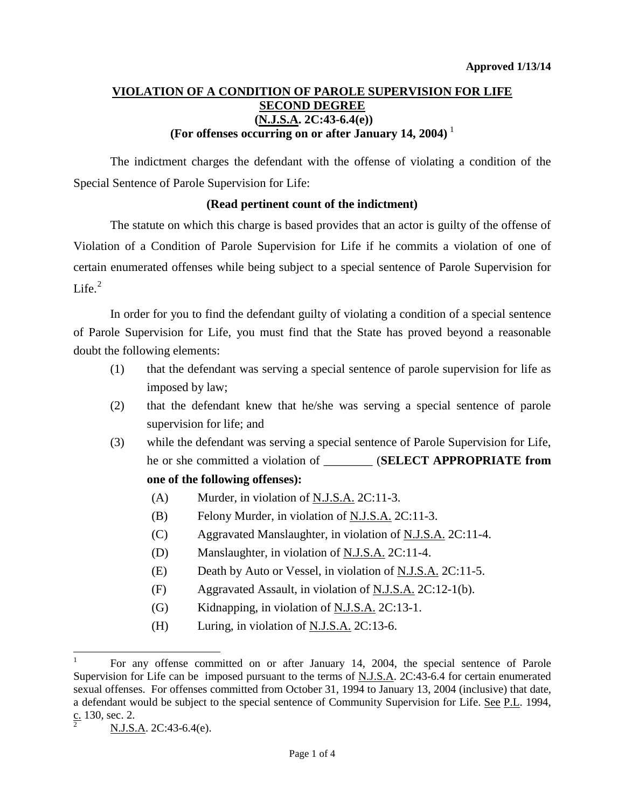# **VIOLATION OF A CONDITION OF PAROLE SUPERVISION FOR LIFE SECOND DEGREE (N.J.S.A. 2C:43-6.4(e)) (For offenses occurring on or after January 14, 2004)** [1](#page-0-0)

The indictment charges the defendant with the offense of violating a condition of the Special Sentence of Parole Supervision for Life:

### **(Read pertinent count of the indictment)**

The statute on which this charge is based provides that an actor is guilty of the offense of Violation of a Condition of Parole Supervision for Life if he commits a violation of one of certain enumerated offenses while being subject to a special sentence of Parole Supervision for Life $^2$  $^2$ 

In order for you to find the defendant guilty of violating a condition of a special sentence of Parole Supervision for Life, you must find that the State has proved beyond a reasonable doubt the following elements:

- (1) that the defendant was serving a special sentence of parole supervision for life as imposed by law;
- (2) that the defendant knew that he/she was serving a special sentence of parole supervision for life; and
- (3) while the defendant was serving a special sentence of Parole Supervision for Life, he or she committed a violation of \_\_\_\_\_\_\_\_ (**SELECT APPROPRIATE from one of the following offenses):**
	- (A) Murder, in violation of N.J.S.A. 2C:11-3.
	- (B) Felony Murder, in violation of  $N.J.S.A.$  2C:11-3.
	- (C) Aggravated Manslaughter, in violation of N.J.S.A. 2C:11-4.
	- (D) Manslaughter, in violation of  $N.J.S.A.$  2C:11-4.
	- (E) Death by Auto or Vessel, in violation of  $N.J.S.A. 2C:11-5.$
	- (F) Aggravated Assault, in violation of N.J.S.A. 2C:12-1(b).
	- (G) Kidnapping, in violation of  $N.J.S.A.$  2C:13-1.
	- (H) Luring, in violation of  $N.J.S.A.$  2C:13-6.

<span id="page-0-0"></span> <sup>1</sup> For any offense committed on or after January 14, 2004, the special sentence of Parole Supervision for Life can be imposed pursuant to the terms of N.J.S.A. 2C:43-6.4 for certain enumerated sexual offenses. For offenses committed from October 31, 1994 to January 13, 2004 (inclusive) that date, a defendant would be subject to the special sentence of Community Supervision for Life. See P.L. 1994,  $rac{\text{c.}}{2}$  130, sec. 2.

<span id="page-0-2"></span><span id="page-0-1"></span>N.J.S.A. 2C:43-6.4(e).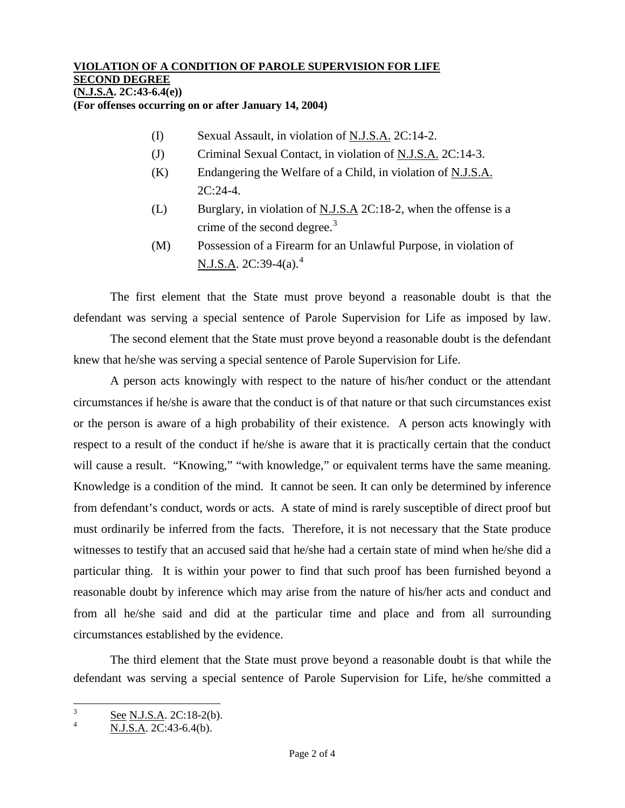#### **VIOLATION OF A CONDITION OF PAROLE SUPERVISION FOR LIFE SECOND DEGREE (N.J.S.A. 2C:43-6.4(e))**

**(For offenses occurring on or after January 14, 2004)**

- (I) Sexual Assault, in violation of N.J.S.A. 2C:14-2.
- (J) Criminal Sexual Contact, in violation of N.J.S.A. 2C:14-3.
- $(K)$  Endangering the Welfare of a Child, in violation of N.J.S.A. 2C:24-4.
- (L) Burglary, in violation of N.J.S.A 2C:18-2, when the offense is a crime of the second degree. $3$
- (M) Possession of a Firearm for an Unlawful Purpose, in violation of N.J.S.A. 2C:39-[4](#page-1-0)(a).<sup>4</sup>

The first element that the State must prove beyond a reasonable doubt is that the defendant was serving a special sentence of Parole Supervision for Life as imposed by law.

The second element that the State must prove beyond a reasonable doubt is the defendant knew that he/she was serving a special sentence of Parole Supervision for Life.

A person acts knowingly with respect to the nature of his/her conduct or the attendant circumstances if he/she is aware that the conduct is of that nature or that such circumstances exist or the person is aware of a high probability of their existence. A person acts knowingly with respect to a result of the conduct if he/she is aware that it is practically certain that the conduct will cause a result. "Knowing," "with knowledge," or equivalent terms have the same meaning. Knowledge is a condition of the mind. It cannot be seen. It can only be determined by inference from defendant's conduct, words or acts. A state of mind is rarely susceptible of direct proof but must ordinarily be inferred from the facts. Therefore, it is not necessary that the State produce witnesses to testify that an accused said that he/she had a certain state of mind when he/she did a particular thing. It is within your power to find that such proof has been furnished beyond a reasonable doubt by inference which may arise from the nature of his/her acts and conduct and from all he/she said and did at the particular time and place and from all surrounding circumstances established by the evidence.

<span id="page-1-1"></span>The third element that the State must prove beyond a reasonable doubt is that while the defendant was serving a special sentence of Parole Supervision for Life, he/she committed a

 $\frac{3}{4}$  See N.J.S.A. 2C:18-2(b).

<span id="page-1-0"></span>N.J.S.A. 2C:43-6.4(b).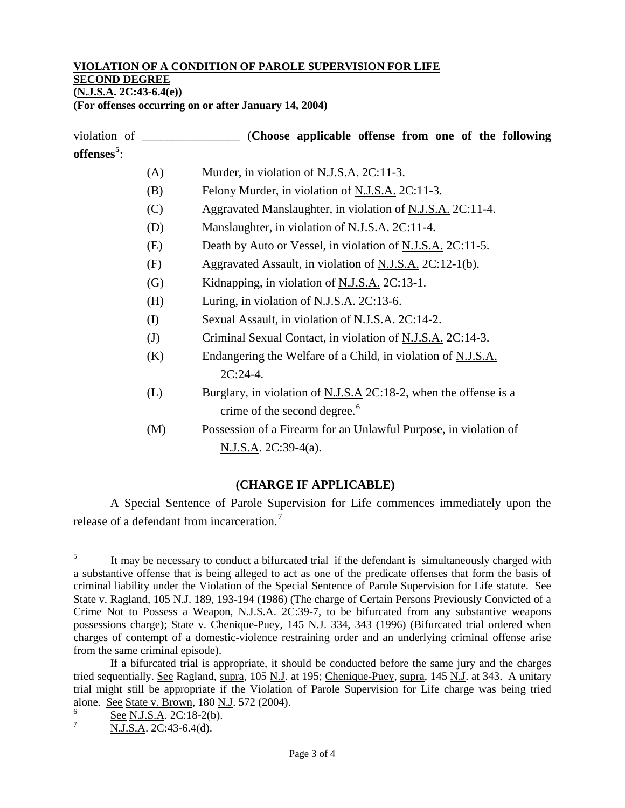# **VIOLATION OF A CONDITION OF PAROLE SUPERVISION FOR LIFE**

**SECOND DEGREE**

**(N.J.S.A. 2C:43-6.4(e))**

**(For offenses occurring on or after January 14, 2004)**

violation of \_\_\_\_\_\_\_\_\_\_\_\_\_\_\_\_ (**Choose applicable offense from one of the following offenses[5](#page-1-1)** : (A) Murder, in violation of  $N.J.S.A. 2C:11-3$ . (B) Felony Murder, in violation of N.J.S.A. 2C:11-3. (C) Aggravated Manslaughter, in violation of N.J.S.A. 2C:11-4. (D) Manslaughter, in violation of N.J.S.A. 2C:11-4. (E) Death by Auto or Vessel, in violation of  $N.J.S.A. 2C:11-5$ . (F) Aggravated Assault, in violation of N.J.S.A. 2C:12-1(b). (G) Kidnapping, in violation of N.J.S.A. 2C:13-1. (H) Luring, in violation of N.J.S.A. 2C:13-6. (I) Sexual Assault, in violation of N.J.S.A. 2C:14-2. (J) Criminal Sexual Contact, in violation of N.J.S.A. 2C:14-3.  $(K)$  Endangering the Welfare of a Child, in violation of N.J.S.A.  $2C:24-4.$ (L) Burglary, in violation of  $N.J.S.A. 2C:18-2$ , when the offense is a crime of the second degree.<sup>[6](#page-2-0)</sup> (M) Possession of a Firearm for an Unlawful Purpose, in violation of N.J.S.A. 2C:39-4(a).

## **(CHARGE IF APPLICABLE)**

A Special Sentence of Parole Supervision for Life commences immediately upon the release of a defendant from incarceration.[7](#page-2-1)

<sup>&</sup>lt;sup>5</sup> It may be necessary to conduct a bifurcated trial if the defendant is simultaneously charged with a substantive offense that is being alleged to act as one of the predicate offenses that form the basis of criminal liability under the Violation of the Special Sentence of Parole Supervision for Life statute. See State v. Ragland, 105 N.J. 189, 193-194 (1986) (The charge of Certain Persons Previously Convicted of a Crime Not to Possess a Weapon, N.J.S.A. 2C:39-7, to be bifurcated from any substantive weapons possessions charge); State v. Chenique-Puey, 145 N.J. 334, 343 (1996) (Bifurcated trial ordered when charges of contempt of a domestic-violence restraining order and an underlying criminal offense arise from the same criminal episode).

If a bifurcated trial is appropriate, it should be conducted before the same jury and the charges tried sequentially. See Ragland, supra, 105 N.J. at 195; Chenique-Puey, supra, 145 N.J. at 343. A unitary trial might still be appropriate if the Violation of Parole Supervision for Life charge was being tried alone. See State v. Brown, 180 N.J. 572 (2004).

<span id="page-2-0"></span> $\frac{6}{7}$  See N.J.S.A. 2C:18-2(b).

<span id="page-2-1"></span>N.J.S.A. 2C:43-6.4(d).